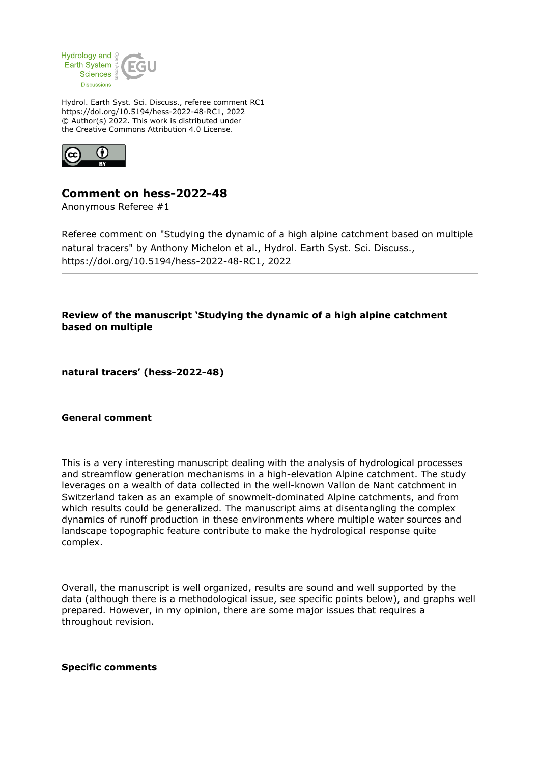

Hydrol. Earth Syst. Sci. Discuss., referee comment RC1 https://doi.org/10.5194/hess-2022-48-RC1, 2022 © Author(s) 2022. This work is distributed under the Creative Commons Attribution 4.0 License.



## **Comment on hess-2022-48**

Anonymous Referee #1

Referee comment on "Studying the dynamic of a high alpine catchment based on multiple natural tracers" by Anthony Michelon et al., Hydrol. Earth Syst. Sci. Discuss., https://doi.org/10.5194/hess-2022-48-RC1, 2022

**Review of the manuscript 'Studying the dynamic of a high alpine catchment based on multiple**

**natural tracers' (hess-2022-48)**

## **General comment**

This is a very interesting manuscript dealing with the analysis of hydrological processes and streamflow generation mechanisms in a high-elevation Alpine catchment. The study leverages on a wealth of data collected in the well-known Vallon de Nant catchment in Switzerland taken as an example of snowmelt-dominated Alpine catchments, and from which results could be generalized. The manuscript aims at disentangling the complex dynamics of runoff production in these environments where multiple water sources and landscape topographic feature contribute to make the hydrological response quite complex.

Overall, the manuscript is well organized, results are sound and well supported by the data (although there is a methodological issue, see specific points below), and graphs well prepared. However, in my opinion, there are some major issues that requires a throughout revision.

## **Specific comments**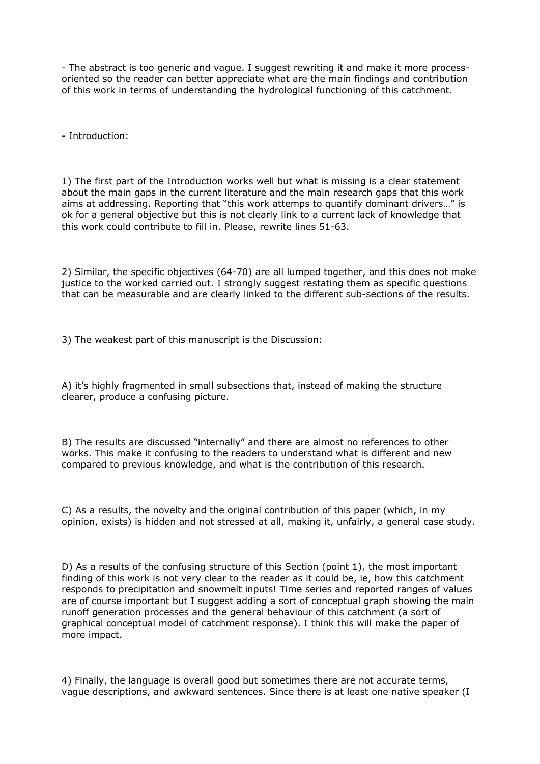- The abstract is too generic and vague. I suggest rewriting it and make it more processoriented so the reader can better appreciate what are the main findings and contribution of this work in terms of understanding the hydrological functioning of this catchment.

- Introduction:

1) The first part of the Introduction works well but what is missing is a clear statement about the main gaps in the current literature and the main research gaps that this work aims at addressing. Reporting that "this work attemps to quantify dominant drivers…" is ok for a general objective but this is not clearly link to a current lack of knowledge that this work could contribute to fill in. Please, rewrite lines 51-63.

2) Similar, the specific objectives (64-70) are all lumped together, and this does not make justice to the worked carried out. I strongly suggest restating them as specific questions that can be measurable and are clearly linked to the different sub-sections of the results.

3) The weakest part of this manuscript is the Discussion:

A) it's highly fragmented in small subsections that, instead of making the structure clearer, produce a confusing picture.

B) The results are discussed "internally" and there are almost no references to other works. This make it confusing to the readers to understand what is different and new compared to previous knowledge, and what is the contribution of this research.

C) As a results, the novelty and the original contribution of this paper (which, in my opinion, exists) is hidden and not stressed at all, making it, unfairly, a general case study.

D) As a results of the confusing structure of this Section (point 1), the most important finding of this work is not very clear to the reader as it could be, ie, how this catchment responds to precipitation and snowmelt inputs! Time series and reported ranges of values are of course important but I suggest adding a sort of conceptual graph showing the main runoff generation processes and the general behaviour of this catchment (a sort of graphical conceptual model of catchment response). I think this will make the paper of more impact.

4) Finally, the language is overall good but sometimes there are not accurate terms, vague descriptions, and awkward sentences. Since there is at least one native speaker (I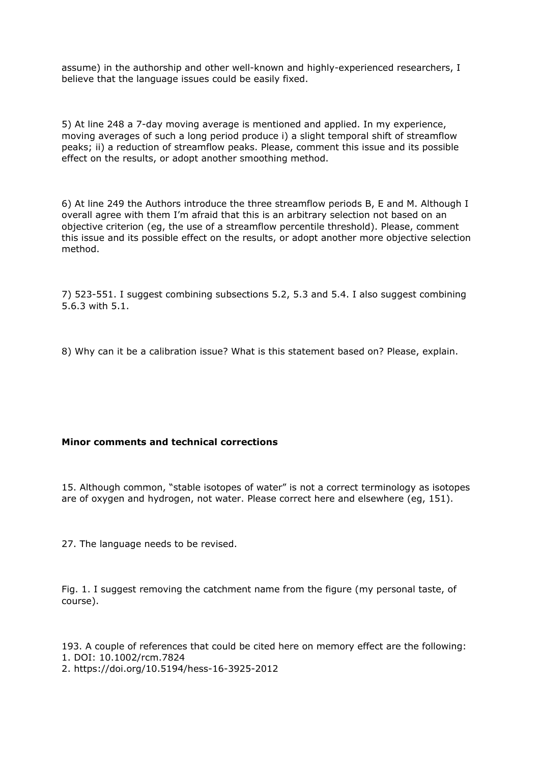assume) in the authorship and other well-known and highly-experienced researchers, I believe that the language issues could be easily fixed.

5) At line 248 a 7-day moving average is mentioned and applied. In my experience, moving averages of such a long period produce i) a slight temporal shift of streamflow peaks; ii) a reduction of streamflow peaks. Please, comment this issue and its possible effect on the results, or adopt another smoothing method.

6) At line 249 the Authors introduce the three streamflow periods B, E and M. Although I overall agree with them I'm afraid that this is an arbitrary selection not based on an objective criterion (eg, the use of a streamflow percentile threshold). Please, comment this issue and its possible effect on the results, or adopt another more objective selection method.

7) 523-551. I suggest combining subsections 5.2, 5.3 and 5.4. I also suggest combining 5.6.3 with 5.1.

8) Why can it be a calibration issue? What is this statement based on? Please, explain.

## **Minor comments and technical corrections**

15. Although common, "stable isotopes of water" is not a correct terminology as isotopes are of oxygen and hydrogen, not water. Please correct here and elsewhere (eg, 151).

27. The language needs to be revised.

Fig. 1. I suggest removing the catchment name from the figure (my personal taste, of course).

193. A couple of references that could be cited here on memory effect are the following: 1. DOI: 10.1002/rcm.7824 2. https://doi.org/10.5194/hess-16-3925-2012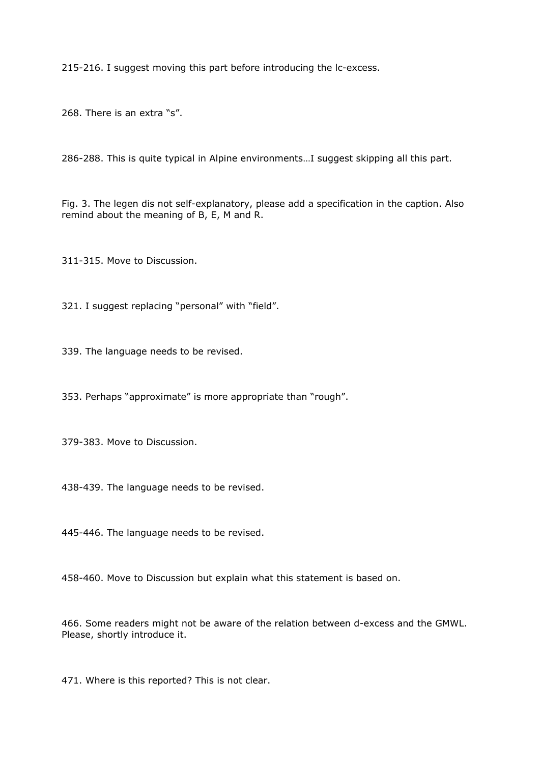215-216. I suggest moving this part before introducing the lc-excess.

268. There is an extra "s".

286-288. This is quite typical in Alpine environments…I suggest skipping all this part.

Fig. 3. The legen dis not self-explanatory, please add a specification in the caption. Also remind about the meaning of B, E, M and R.

311-315. Move to Discussion.

321. I suggest replacing "personal" with "field".

339. The language needs to be revised.

353. Perhaps "approximate" is more appropriate than "rough".

379-383. Move to Discussion.

438-439. The language needs to be revised.

445-446. The language needs to be revised.

458-460. Move to Discussion but explain what this statement is based on.

466. Some readers might not be aware of the relation between d-excess and the GMWL. Please, shortly introduce it.

471. Where is this reported? This is not clear.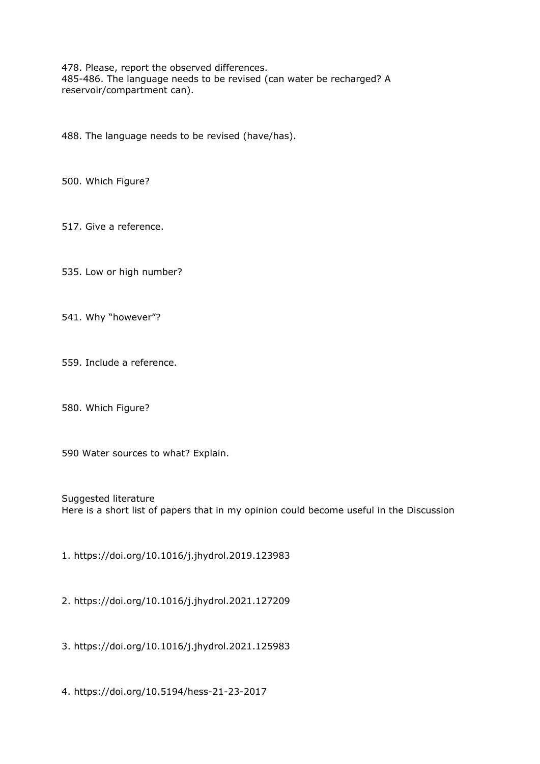478. Please, report the observed differences. 485-486. The language needs to be revised (can water be recharged? A reservoir/compartment can).

488. The language needs to be revised (have/has).

500. Which Figure?

517. Give a reference.

535. Low or high number?

541. Why "however"?

559. Include a reference.

580. Which Figure?

590 Water sources to what? Explain.

Suggested literature Here is a short list of papers that in my opinion could become useful in the Discussion

1. https://doi.org/10.1016/j.jhydrol.2019.123983

2. https://doi.org/10.1016/j.jhydrol.2021.127209

3. https://doi.org/10.1016/j.jhydrol.2021.125983

4. https://doi.org/10.5194/hess-21-23-2017